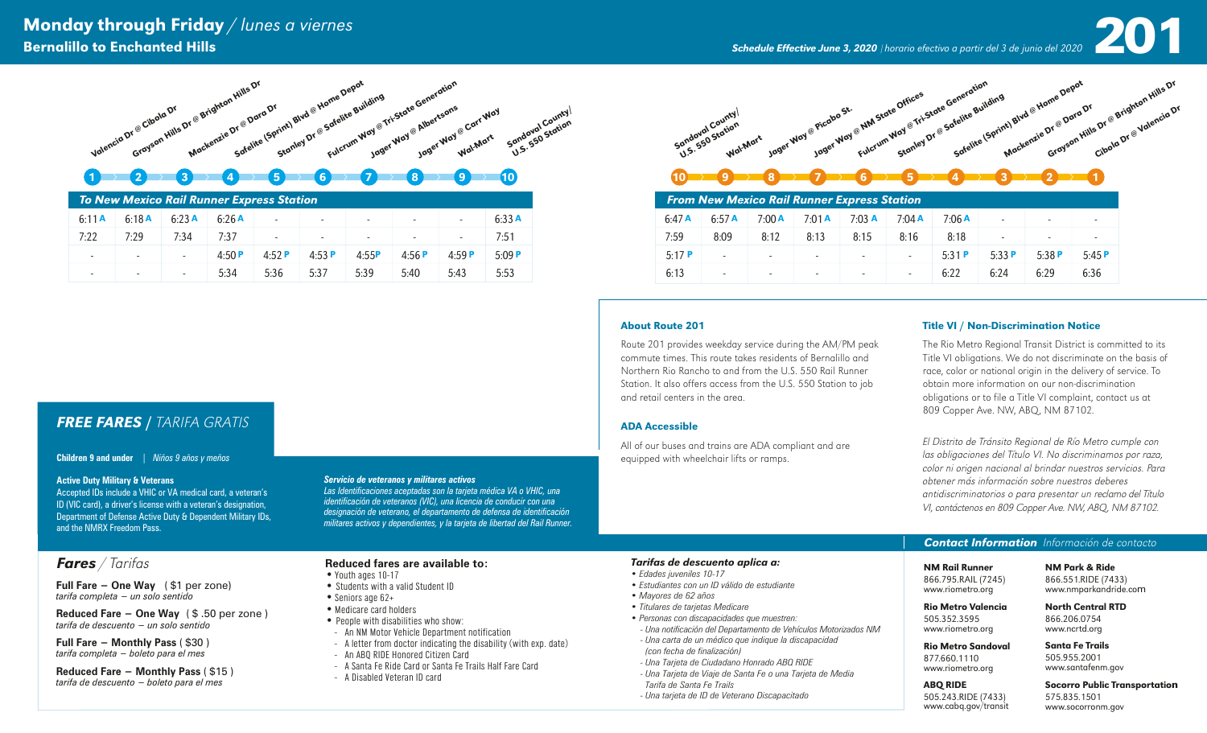# Monday through Friday / lunes a viernes<br>Bernalillo to Enchanted Hills and Hills and Discussion of the School of the Schedule Effective June 3, 2020 | horario efectivo a partir del 3 de junio del 2020 **200**

Bernalillo to Enchanted Hills *Schedule Effective June 3, 2020* <sup>|</sup>*horario efectivo a partir del 3 de junio del 2020*



# 1 2 2 3 4 5 6 7 7 8 7 9 10

| To New Mexico Rail Runner Express Station |                          |       |          |                          |                          |                          |                          |       |       |  |  |
|-------------------------------------------|--------------------------|-------|----------|--------------------------|--------------------------|--------------------------|--------------------------|-------|-------|--|--|
| 6:11A                                     | 6:18A                    | 6:23A | 6:26A    | $\overline{\phantom{a}}$ | $\overline{\phantom{a}}$ | $\overline{\phantom{a}}$ | $\overline{\phantom{a}}$ |       | 6:33A |  |  |
| 7:22                                      | 7:29                     | 7:34  | 7:37     | $\overline{\phantom{a}}$ | $\overline{\phantom{a}}$ | $\sim$                   | $\overline{a}$           | ۰     | 7:51  |  |  |
| $\overline{\phantom{a}}$                  | $\overline{\phantom{a}}$ | ۰     | 4:50 $P$ | 4:52 $P$                 | 4:53P                    | 4:55P                    | 4:56P                    | 4:59P | 5:09P |  |  |
| $\overline{\phantom{a}}$                  | $\overline{\phantom{a}}$ | -     | 5:34     | 5:36                     | 5:37                     | 5:39                     | 5:40                     | 5:43  | 5:53  |  |  |

**Wal-Mart** Jager Way @ Picabo St. Jager Way @ NM State Offices Fulcrum Way @ Tri-State Generation Stanley Dr @ Sate (Sprint) Blvd @ Home Depart eneration<br>Kelite Building<br>Safelite (Sprint) Blvd @ Home Depot<br>Safelite (Sprint) Blvd @ Home Dray Dara Dr Sandoval County i<sup>me Depat</sup><br>Dr @ Dara Dr<br>Grayson Hills Dr @ Brighton Hills Dr<br>Grayson Hills Dr @ Brightoncia Dr

# $10$  product  $9$  product  $7$  product  $6$  product  $5$  product  $4$  product  $3$  product  $2$  product  $1$

| <b>From New Mexico Rail Runner Express Station</b> |                          |                          |                          |                          |                          |       |                          |                          |       |  |
|----------------------------------------------------|--------------------------|--------------------------|--------------------------|--------------------------|--------------------------|-------|--------------------------|--------------------------|-------|--|
| 6:47A                                              | 6:57A                    | 7:00A                    | 7:01A                    | $7:03$ A                 | $7:04$ A                 | 7:06A | $\overline{\phantom{a}}$ | $\overline{\phantom{a}}$ |       |  |
| 7:59                                               | 8:09                     | 8:12                     | 8:13                     | 8:15                     | 8:16                     | 8:18  | $\overline{\phantom{a}}$ | $\overline{\phantom{a}}$ |       |  |
| 5:17P                                              | ۰                        | $\overline{\phantom{a}}$ | $\overline{\phantom{a}}$ | $\overline{\phantom{a}}$ | $\overline{\phantom{0}}$ | 5:31P | 5:33P                    | 5:38P                    | 5:45P |  |
| 6:13                                               | $\overline{\phantom{a}}$ | $\overline{\phantom{0}}$ | $\overline{\phantom{a}}$ | $\overline{\phantom{a}}$ | -                        | 6:22  | 6:24                     | 6:29                     | 6:36  |  |

**About Route 201**<br> **About Route 201**<br>
Route 201 Fitle VI/Non-Discrimination Notice<br>
Route 201 provides weekday service during the AM/PM peak<br>
Example 1 The Ki obter Regional Transit District is computer<br>
Strom. It also di Route 201 provides weekday service during the AM/PM peak commute times. This route takes residents of Bernalillo and Northern Rio Rancho to and from the U.S. 550 Rail Runner Station. It also offers access from the U.S. 550 Station to job and retail centers in the area.

#### ADA Accessible

All of our buses and trains are ADA compliant and are equipped with wheelchair lifts or ramps.

#### Title VI / Non-Discrimination Notice

The Rio Metro Regional Transit District is committed to its Title VI obligations. We do not discriminate on the basis of race, color or national origin in the delivery of service. To obtain more information on our non-discrimination obligations or to file a Title VI complaint, contact us at 809 Copper Ave. NW, ABQ, NM 87102.

El Distrito de Tránsito Regional de Río Metro cumple con las obligaciones del Título VI. No discriminamos por raza, color ni origen nacional al brindar nuestros servicios. Para obtener más información sobre nuestros deberes antidiscriminatorios o para presentar un reclamo del Título VI, contáctenos en 809 Copper Ave. NW, ABQ, NM 87102.

#### *Contact Information* Información de contacto

#### NM Rail Runner NM Park & Ride

866.795.RAIL (7245) www.riometro.org

866.551.RIDE (7433) www.nmparkandride.com 866.551.RIDE (7433)www.nmparkandride.comNorth Central RTD

Santa Fe Trails

866.206.0754 www.ncrtd.org

## Rio Metro Sandoval

505.352.3595 www.riometro.org

877.660.1110 www.riometro.org ABQ RIDE 505.243.RIDE (7433) www.cabq.gov/transit

505.955.2001 www.santafenm.gov

#### Socorro Public Transportation 575.835.1501 www.socorronm.gov

*FREE FARES* / TARIFA GRATIS

## **Children 9 and under** | *Niños 9 años y meños*

#### **Active Duty Military & Veterans**

Accepted IDs include a VHIC or VA medical card, a veteran's ID (VIC card), a driver's license with a veteran's designation, Department of Defense Active Duty & Dependent Military IDs, and the NMRX Freedom Pass.

## *Fares* / Tarifas

**Full Fare − One Way** ( \$1 per zone) *tarifa completa − un solo sentido*

**Reduced Fare − One Way** ( \$ .50 per zone ) *tarifa de descuento − un solo sentido*

**Full Fare − Monthly Pass** ( \$30 ) *tarifa completa − boleto para el mes*

**Reduced Fare − Monthly Pass** ( \$15 ) *tarifa de descuento − boleto para el mes*

#### *Servicio de veteranos y militares activos*

*Las Identificaciones aceptadas son la tarjeta médica VA o VHIC, una identificación de veteranos (VIC), una licencia de conducir con una designación de veterano, el departamento de defensa de identificación militares activos y dependientes, y la tarjeta de libertad del Rail Runner.*

#### **Reduced fares are available to:**

#### • Youth ages 10-17

- Students with a valid Student ID
- Seniors age 62+
- Medicare card holders
- People with disabilities who show:
- An NM Motor Vehicle Department notification
- A letter from doctor indicating the disability (with exp. date)
- An ABQ RIDE Honored Citizen Card
- A Santa Fe Ride Card or Santa Fe Trails Half Fare Card
- A Disabled Veteran ID card

#### *Tarifas de descuento aplica a:*

- *Edades juveniles 10-17*
- *Estudiantes con un ID válido de estudiante*
- *Mayores de 62 años*
- *Titulares de tarjetas Medicare*
- *Personas con discapacidades que muestren: - Una notificación del Departamento de Vehículos Motorizados NM - Una carta de un médico que indique la discapacidad*
- *(con fecha de finalización) - Una Tarjeta de Ciudadano Honrado ABQ RIDE*
- *Una Tarjeta de Viaje de Santa Fe o una Tarjeta de Media*
- *Tarifa de Santa Fe Trails*
- *Una tarjeta de ID de Veterano Discapacitado*

Rio Metro Valencia